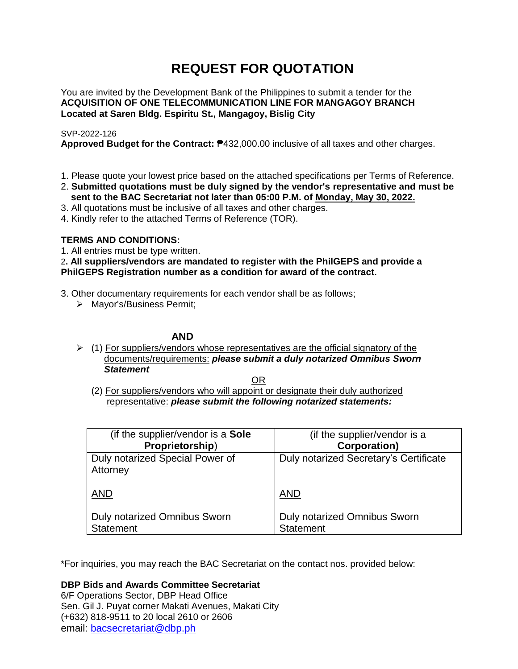# **REQUEST FOR QUOTATION**

You are invited by the Development Bank of the Philippines to submit a tender for the **ACQUISITION OF ONE TELECOMMUNICATION LINE FOR MANGAGOY BRANCH Located at Saren Bldg. Espiritu St., Mangagoy, Bislig City**

# SVP-2022-126

**Approved Budget for the Contract:** ₱432,000.00 inclusive of all taxes and other charges.

- 1. Please quote your lowest price based on the attached specifications per Terms of Reference.
- 2. **Submitted quotations must be duly signed by the vendor's representative and must be sent to the BAC Secretariat not later than 05:00 P.M. of Monday, May 30, 2022.**
- 3. All quotations must be inclusive of all taxes and other charges.
- 4. Kindly refer to the attached Terms of Reference (TOR).

# **TERMS AND CONDITIONS:**

1. All entries must be type written.

2**. All suppliers/vendors are mandated to register with the PhilGEPS and provide a PhilGEPS Registration number as a condition for award of the contract.**

- 3. Other documentary requirements for each vendor shall be as follows;
	- > Mayor's/Business Permit;

# **AND**

 $\geq$  (1) For suppliers/vendors whose representatives are the official signatory of the documents/requirements: *please submit a duly notarized Omnibus Sworn Statement*

<u>OR Starting and the Starting OR Starting</u>

(2) For suppliers/vendors who will appoint or designate their duly authorized representative: *please submit the following notarized statements:*

| (if the supplier/vendor is a Sole                | (if the supplier/vendor is a                     |
|--------------------------------------------------|--------------------------------------------------|
| Proprietorship)                                  | <b>Corporation)</b>                              |
| Duly notarized Special Power of<br>Attorney      | Duly notarized Secretary's Certificate           |
| <b>AND</b>                                       | <b>AND</b>                                       |
| Duly notarized Omnibus Sworn<br><b>Statement</b> | Duly notarized Omnibus Sworn<br><b>Statement</b> |

\*For inquiries, you may reach the BAC Secretariat on the contact nos. provided below:

**DBP Bids and Awards Committee Secretariat** 

6/F Operations Sector, DBP Head Office Sen. Gil J. Puyat corner Makati Avenues, Makati City (+632) 818-9511 to 20 local 2610 or 2606 email: [bacsecretariat@dbp.ph](mailto:bacsecretariat@dbp.ph)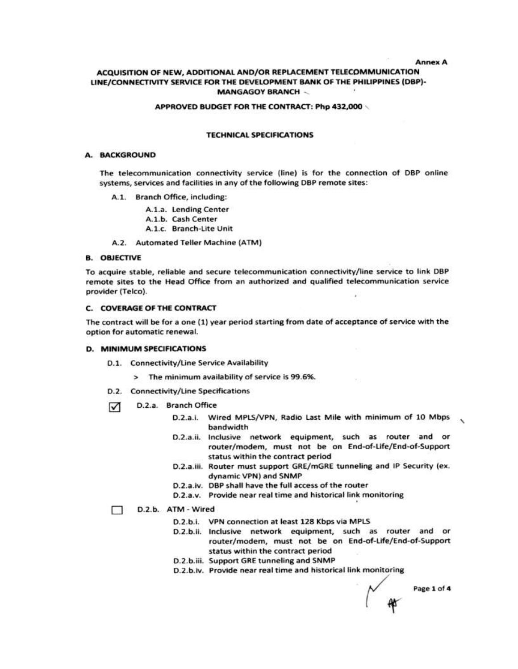**Annex A** 

#### ACQUISITION OF NEW, ADDITIONAL AND/OR REPLACEMENT TELECOMMUNICATION LINE/CONNECTIVITY SERVICE FOR THE DEVELOPMENT BANK OF THE PHILIPPINES (DBP)-**MANGAGOY BRANCH -**

#### APPROVED BUDGET FOR THE CONTRACT: Php 432,000

#### **TECHNICAL SPECIFICATIONS**

## A. BACKGROUND

The telecommunication connectivity service (line) is for the connection of DBP online systems, services and facilities in any of the following DBP remote sites:

- A.1. Branch Office, including:
	- A.1.a. Lending Center
	- A.1.b. Cash Center
	- A.1.c. Branch-Lite Unit
- A.2. Automated Teller Machine (ATM)

#### **B. OBJECTIVE**

To acquire stable, reliable and secure telecommunication connectivity/line service to link DBP remote sites to the Head Office from an authorized and qualified telecommunication service provider (Telco).

#### **C. COVERAGE OF THE CONTRACT**

The contract will be for a one (1) year period starting from date of acceptance of service with the option for automatic renewal.

#### D. MINIMUM SPECIFICATIONS

- D.1. Connectivity/Line Service Availability
	- > The minimum availability of service is 99.6%.
- D.2. Connectivity/Line Specifications
- D.2.a. Branch Office ☑
	- D.2.a.i. Wired MPLS/VPN, Radio Last Mile with minimum of 10 Mbps bandwidth
	- D.2.a.ii. Inclusive network equipment, such as router and or router/modem, must not be on End-of-Life/End-of-Support status within the contract period
	- D.2.a.iii. Router must support GRE/mGRE tunneling and IP Security (ex. dynamic VPN) and SNMP
	- D.2.a.iv. DBP shall have the full access of the router
	- D.2.a.v. Provide near real time and historical link monitoring

#### D.2.b. ATM - Wired П.

- D.2.b.i. VPN connection at least 128 Kbps via MPLS
- D.2.b.ii. Inclusive network equipment, such as router and or router/modem, must not be on End-of-Life/End-of-Support status within the contract period
- D.2.b.iii. Support GRE tunneling and SNMP
- D.2.b.iv. Provide near real time and historical link monitoring

Page 1 of 4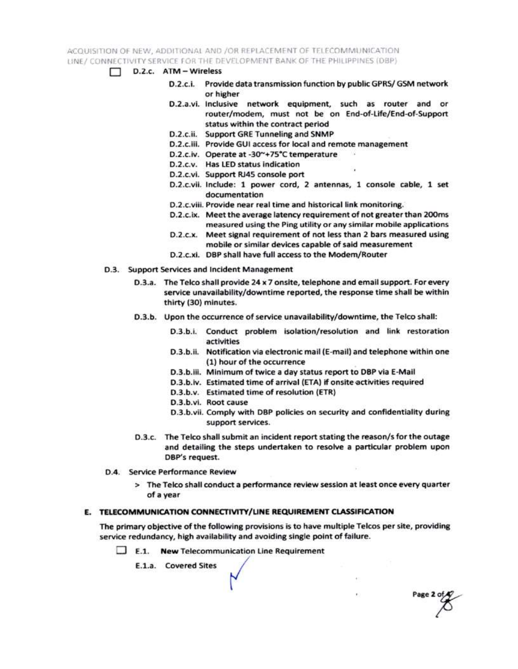ACQUISITION OF NEW, ADDITIONAL AND /OR REPLACEMENT OF TELECOMMUNICATION LINE / CONNECTIVITY SERVICE FOR THE DEVELOPMENT BANK OF THE PHILIPPINES (DBP)

- $\Box$  D.2.c.  $ATM Wireless$ 
	- D.2.c.i. Provide data transmission function by public GPRS/ GSM network or higher
	- D.2.a.vi. Inclusive network equipment, such as router and or router/modem, must not be on End-of-Life/End-of-Support status within the contract period
	- D.2.c.ii. Support GRE Tunneling and SNMP
	- D.2.c.iii. Provide GUI access for local and remote management
	- D.2.c.iv. Operate at -30~+75°C temperature
	- D.2.c.v. Has LED status indication
	- D.2.c.vi. Support RJ45 console port
	- D.2.c.vii. Include: 1 power cord, 2 antennas, 1 console cable, 1 set documentation
	- D.2.c.viii. Provide near real time and historical link monitoring.
	- D.2.c.ix. Meet the average latency requirement of not greater than 200ms measured using the Ping utility or any similar mobile applications
	- D.2.c.x. Meet signal requirement of not less than 2 bars measured using mobile or similar devices capable of said measurement
	- D.2.c.xi. DBP shall have full access to the Modem/Router
- D.3. Support Services and Incident Management
	- D.3.a. The Telco shall provide 24 x 7 onsite, telephone and email support. For every service unavailability/downtime reported, the response time shall be within thirty (30) minutes.
	- D.3.b. Upon the occurrence of service unavailability/downtime, the Telco shall:
		- D.3.b.i. Conduct problem isolation/resolution and link restoration activities
		- D.3.b.ii. Notification via electronic mail (E-mail) and telephone within one (1) hour of the occurrence
		- D.3.b.iii. Minimum of twice a day status report to DBP via E-Mail
		- D.3.b.iv. Estimated time of arrival (ETA) if onsite activities required
		- D.3.b.v. Estimated time of resolution (ETR)
		- D.3.b.vi. Root cause
		- D.3.b.vii. Comply with DBP policies on security and confidentiality during support services.

Page 2 of

- D.3.c. The Telco shall submit an incident report stating the reason/s for the outage and detailing the steps undertaken to resolve a particular problem upon DBP's request.
- D.4. Service Performance Review
	- > The Telco shall conduct a performance review session at least once every quarter of a year

### E. TELECOMMUNICATION CONNECTIVITY/LINE REQUIREMENT CLASSIFICATION

The primary objective of the following provisions is to have multiple Telcos per site, providing service redundancy, high availability and avoiding single point of failure.

 $\Box$  E.1. New Telecommunication Line Requirement

E.1.a. Covered Sites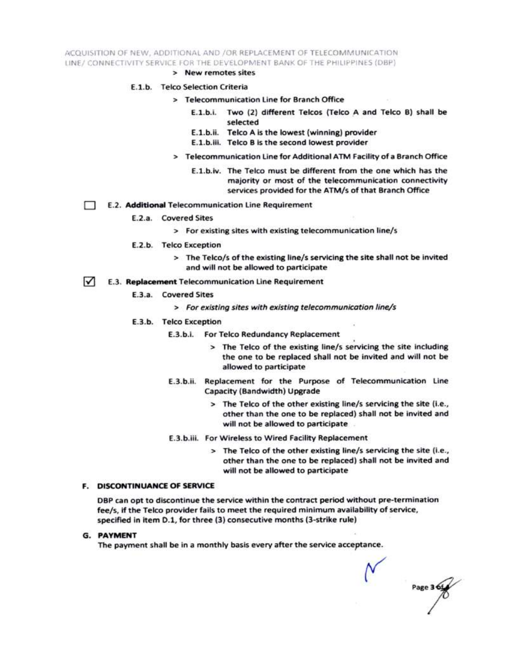ACQUISITION OF NEW, ADDITIONAL AND /OR REPLACEMENT OF TELECOMMUNICATION LINE/ CONNECTIVITY SERVICE FOR THE DEVELOPMENT BANK OF THE PHILIPPINES (DBP)

> New remotes sites

#### E.1.b. Telco Selection Criteria

- > Telecommunication Line for Branch Office
	- E.1.b.i. Two (2) different Telcos (Telco A and Telco B) shall be selected
	- E.1.b.ii. Telco A is the lowest (winning) provider
	- E.1.b.iii. Telco B is the second lowest provider
- > Telecommunication Line for Additional ATM Facility of a Branch Office
	- E.1.b.iv. The Telco must be different from the one which has the majority or most of the telecommunication connectivity services provided for the ATM/s of that Branch Office
- E.2. Additional Telecommunication Line Requirement Ð
	- E.2.a. Covered Sites
		- > For existing sites with existing telecommunication line/s
	- E.2.b. Telco Exception
		- > The Telco/s of the existing line/s servicing the site shall not be invited and will not be allowed to participate
- $\sqrt{ }$ E.3. Replacement Telecommunication Line Requirement
	- E.3.a. Covered Sites
		- > For existing sites with existing telecommunication line/s
	- E.3.b. Telco Exception
		- E.3.b.i. For Telco Redundancy Replacement
			- > The Telco of the existing line/s servicing the site including the one to be replaced shall not be invited and will not be allowed to participate
		- E.3.b.ii. Replacement for the Purpose of Telecommunication Line Capacity (Bandwidth) Upgrade
			- > The Telco of the other existing line/s servicing the site (i.e., other than the one to be replaced) shall not be invited and will not be allowed to participate
		- E.3.b.iii. For Wireless to Wired Facility Replacement
			- > The Telco of the other existing line/s servicing the site (i.e., other than the one to be replaced) shall not be invited and will not be allowed to participate

#### **F. DISCONTINUANCE OF SERVICE**

DBP can opt to discontinue the service within the contract period without pre-termination fee/s, if the Telco provider fails to meet the required minimum availability of service, specified in item D.1, for three (3) consecutive months (3-strike rule)

**G. PAYMENT** 

The payment shall be in a monthly basis every after the service acceptance.

Page 3 6t